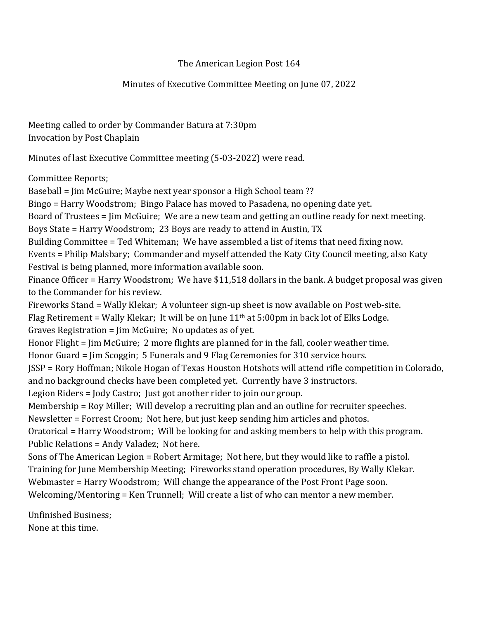## The American Legion Post 164

## Minutes of Executive Committee Meeting on June 07, 2022

Meeting called to order by Commander Batura at 7:30pm Invocation by Post Chaplain

Minutes of last Executive Committee meeting (5-03-2022) were read.

Committee Reports;

Baseball = Jim McGuire; Maybe next year sponsor a High School team ??

Bingo = Harry Woodstrom; Bingo Palace has moved to Pasadena, no opening date yet.

Board of Trustees = Jim McGuire; We are a new team and getting an outline ready for next meeting. Boys State = Harry Woodstrom; 23 Boys are ready to attend in Austin, TX

Building Committee = Ted Whiteman; We have assembled a list of items that need fixing now.

Events = Philip Malsbary; Commander and myself attended the Katy City Council meeting, also Katy Festival is being planned, more information available soon.

Finance Officer = Harry Woodstrom; We have \$11,518 dollars in the bank. A budget proposal was given to the Commander for his review.

Fireworks Stand = Wally Klekar; A volunteer sign-up sheet is now available on Post web-site.

Flag Retirement = Wally Klekar; It will be on June  $11<sup>th</sup>$  at 5:00pm in back lot of Elks Lodge.

Graves Registration = Jim McGuire; No updates as of yet.

Honor Flight = Jim McGuire; 2 more flights are planned for in the fall, cooler weather time.

Honor Guard = Jim Scoggin; 5 Funerals and 9 Flag Ceremonies for 310 service hours.

JSSP = Rory Hoffman; Nikole Hogan of Texas Houston Hotshots will attend rifle competition in Colorado, and no background checks have been completed yet. Currently have 3 instructors.

Legion Riders = Jody Castro; Just got another rider to join our group.

Membership = Roy Miller; Will develop a recruiting plan and an outline for recruiter speeches.

Newsletter = Forrest Croom; Not here, but just keep sending him articles and photos.

Oratorical = Harry Woodstrom; Will be looking for and asking members to help with this program. Public Relations = Andy Valadez; Not here.

Sons of The American Legion = Robert Armitage; Not here, but they would like to raffle a pistol.

Training for June Membership Meeting; Fireworks stand operation procedures, By Wally Klekar.

Webmaster = Harry Woodstrom; Will change the appearance of the Post Front Page soon.

Welcoming/Mentoring = Ken Trunnell; Will create a list of who can mentor a new member.

Unfinished Business; None at this time.